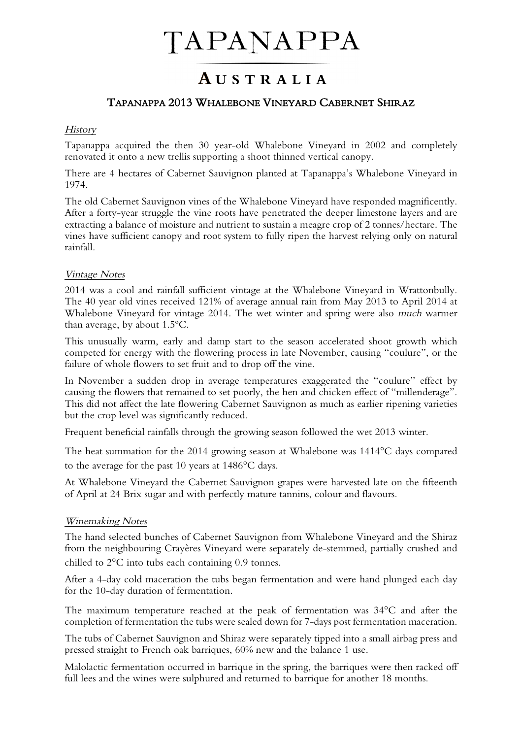# TAPANAPPA

### AUSTRALIA

#### TAPANAPPA 2013 WHALEBONE VINEYARD CABERNET SHIRAZ

#### **History**

Tapanappa acquired the then 30 year-old Whalebone Vineyard in 2002 and completely renovated it onto a new trellis supporting a shoot thinned vertical canopy.

There are 4 hectares of Cabernet Sauvignon planted at Tapanappa's Whalebone Vineyard in 1974.

The old Cabernet Sauvignon vines of the Whalebone Vineyard have responded magnificently. After a forty-year struggle the vine roots have penetrated the deeper limestone layers and are extracting a balance of moisture and nutrient to sustain a meagre crop of 2 tonnes/hectare. The vines have sufficient canopy and root system to fully ripen the harvest relying only on natural rainfall.

#### Vintage Notes

2014 was a cool and rainfall sufficient vintage at the Whalebone Vineyard in Wrattonbully. The 40 year old vines received 121% of average annual rain from May 2013 to April 2014 at Whalebone Vineyard for vintage 2014. The wet winter and spring were also much warmer than average, by about 1.5ºC.

This unusually warm, early and damp start to the season accelerated shoot growth which competed for energy with the flowering process in late November, causing "coulure", or the failure of whole flowers to set fruit and to drop off the vine.

In November a sudden drop in average temperatures exaggerated the "coulure" effect by causing the flowers that remained to set poorly, the hen and chicken effect of "millenderage". This did not affect the late flowering Cabernet Sauvignon as much as earlier ripening varieties but the crop level was significantly reduced.

Frequent beneficial rainfalls through the growing season followed the wet 2013 winter.

The heat summation for the 2014 growing season at Whalebone was 1414°C days compared to the average for the past 10 years at 1486°C days.

At Whalebone Vineyard the Cabernet Sauvignon grapes were harvested late on the fifteenth of April at 24 Brix sugar and with perfectly mature tannins, colour and flavours.

#### Winemaking Notes

The hand selected bunches of Cabernet Sauvignon from Whalebone Vineyard and the Shiraz from the neighbouring Crayères Vineyard were separately de-stemmed, partially crushed and chilled to 2°C into tubs each containing 0.9 tonnes.

After a 4-day cold maceration the tubs began fermentation and were hand plunged each day for the 10-day duration of fermentation.

The maximum temperature reached at the peak of fermentation was 34°C and after the completion of fermentation the tubs were sealed down for 7-days post fermentation maceration.

The tubs of Cabernet Sauvignon and Shiraz were separately tipped into a small airbag press and pressed straight to French oak barriques, 60% new and the balance 1 use.

Malolactic fermentation occurred in barrique in the spring, the barriques were then racked off full lees and the wines were sulphured and returned to barrique for another 18 months.